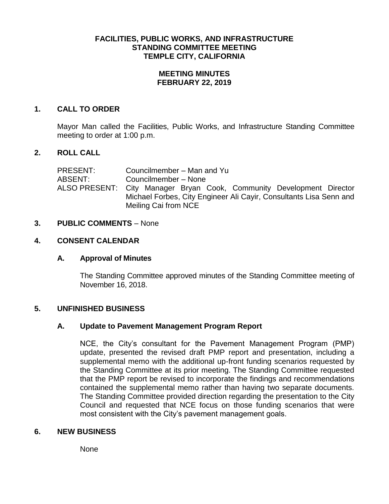# **FACILITIES, PUBLIC WORKS, AND INFRASTRUCTURE STANDING COMMITTEE MEETING TEMPLE CITY, CALIFORNIA**

## **MEETING MINUTES FEBRUARY 22, 2019**

# **1. CALL TO ORDER**

Mayor Man called the Facilities, Public Works, and Infrastructure Standing Committee meeting to order at 1:00 p.m.

## **2. ROLL CALL**

PRESENT: Councilmember – Man and Yu ABSENT: Councilmember – None ALSO PRESENT: City Manager Bryan Cook, Community Development Director Michael Forbes, City Engineer Ali Cayir, Consultants Lisa Senn and Meiling Cai from NCE

#### **3. PUBLIC COMMENTS** – None

## **4. CONSENT CALENDAR**

#### **A. Approval of Minutes**

The Standing Committee approved minutes of the Standing Committee meeting of November 16, 2018.

# **5. UNFINISHED BUSINESS**

#### **A. Update to Pavement Management Program Report**

NCE, the City's consultant for the Pavement Management Program (PMP) update, presented the revised draft PMP report and presentation, including a supplemental memo with the additional up-front funding scenarios requested by the Standing Committee at its prior meeting. The Standing Committee requested that the PMP report be revised to incorporate the findings and recommendations contained the supplemental memo rather than having two separate documents. The Standing Committee provided direction regarding the presentation to the City Council and requested that NCE focus on those funding scenarios that were most consistent with the City's pavement management goals.

# **6. NEW BUSINESS**

None